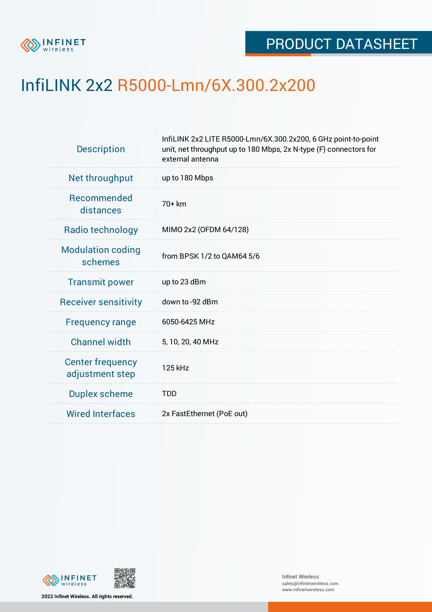

## InfiLINK 2x2 R5000-Lmn/6X.300.2x200

| Net throughput<br>up to 180 Mbps                                  |
|-------------------------------------------------------------------|
| <b>Recommended</b><br>70+ km<br>distances                         |
| Radio technology<br>MIMO 2x2 (OFDM 64/128)                        |
| <b>Modulation coding</b><br>from BPSK 1/2 to QAM64 5/6<br>schemes |
| <b>Transmit power</b><br>up to 23 dBm                             |
| down to -92 dBm<br><b>Receiver sensitivity</b>                    |
| 6050-6425 MHz<br><b>Frequency range</b>                           |
| <b>Channel width</b><br>5, 10, 20, 40 MHz                         |
| <b>Center frequency</b><br>125 kHz<br>adjustment step             |
| <b>Duplex scheme</b><br><b>TDD</b>                                |
| <b>Wired Interfaces</b><br>2x FastEthernet (PoE out)              |



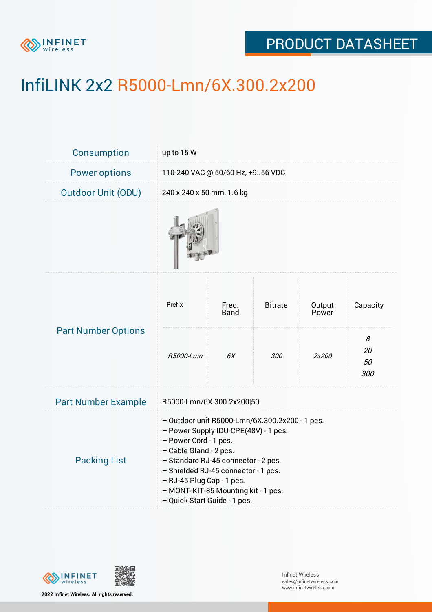

## PRODUCT DATASHEET

# InfiLINK 2x2 R5000-Lmn/6X.300.2x200

| <b>Consumption</b>         | up to 15 W                                                                                                                                                                                                                                                                                                                  |               |                |                 |                      |  |
|----------------------------|-----------------------------------------------------------------------------------------------------------------------------------------------------------------------------------------------------------------------------------------------------------------------------------------------------------------------------|---------------|----------------|-----------------|----------------------|--|
| <b>Power options</b>       | 110-240 VAC @ 50/60 Hz, +956 VDC                                                                                                                                                                                                                                                                                            |               |                |                 |                      |  |
| <b>Outdoor Unit (ODU)</b>  | 240 x 240 x 50 mm, 1.6 kg                                                                                                                                                                                                                                                                                                   |               |                |                 |                      |  |
|                            |                                                                                                                                                                                                                                                                                                                             |               |                |                 |                      |  |
| <b>Part Number Options</b> | Prefix                                                                                                                                                                                                                                                                                                                      | Freq.<br>Band | <b>Bitrate</b> | Output<br>Power | Capacity             |  |
|                            | R5000-Lmn                                                                                                                                                                                                                                                                                                                   | 6X            | 300            | 2x200           | 8<br>20<br>50<br>300 |  |
| <b>Part Number Example</b> | R5000-Lmn/6X.300.2x200 50                                                                                                                                                                                                                                                                                                   |               |                |                 |                      |  |
| <b>Packing List</b>        | - Outdoor unit R5000-Lmn/6X.300.2x200 - 1 pcs.<br>- Power Supply IDU-CPE(48V) - 1 pcs.<br>- Power Cord - 1 pcs.<br>- Cable Gland - 2 pcs.<br>- Standard RJ-45 connector - 2 pcs.<br>- Shielded RJ-45 connector - 1 pcs.<br>- RJ-45 Plug Cap - 1 pcs.<br>- MONT-KIT-85 Mounting kit - 1 pcs.<br>- Quick Start Guide - 1 pcs. |               |                |                 |                      |  |



**2022 Infinet Wireless. All rights reserved.**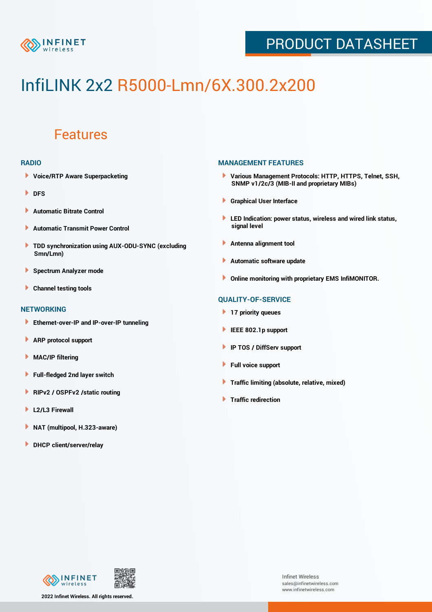

## PRODUCT DATASHEET

# InfiLINK 2x2 R5000-Lmn/6X.300.2x200

### Features

#### **RADIO**

- **Voice/RTP Aware Superpacketing**
- **DFS**
- **Automatic Bitrate Control** Þ
- Þ **Automatic Transmit Power Control**
- ь **TDD synchronization using AUX-ODU-SYNC (excluding Smn/Lmn)**
- **Spectrum Analyzer mode** ۰
- **Channel testing tools** ١

#### **NETWORKING**

- **Ethernet-over-IP and IP-over-IP tunneling**
- Þ **ARP protocol support**
- ۱ **MAC/IP filtering**
- Þ **Full-fledged 2nd layer switch**
- Þ **RIPv2 / OSPFv2 /static routing**
- **L2/L3 Firewall** Þ
- **NAT (multipool, H.323-aware)** Þ
- Þ **DHCP client/server/relay**

#### **MANAGEMENT FEATURES**

- **Various Management Protocols: HTTP, HTTPS, Telnet, SSH, SNMP v1/2c/3 (MIB-II and proprietary MIBs)**
- **Graphical User Interface**
- **LED Indication: power status, wireless and wired link status, signal level**
- **Antenna alignment tool**
- ٠ **Automatic software update**
- **Online monitoring with proprietary EMS InfiMONITOR.**

#### **QUALITY-OF-SERVICE**

- **17 priority queues**
- **IEEE 802.1p support**
- **IP TOS / DiffServ support**
- ٠ **Full voice support**
- **Traffic limiting (absolute, relative, mixed)** ٠
- **Traffic redirection**